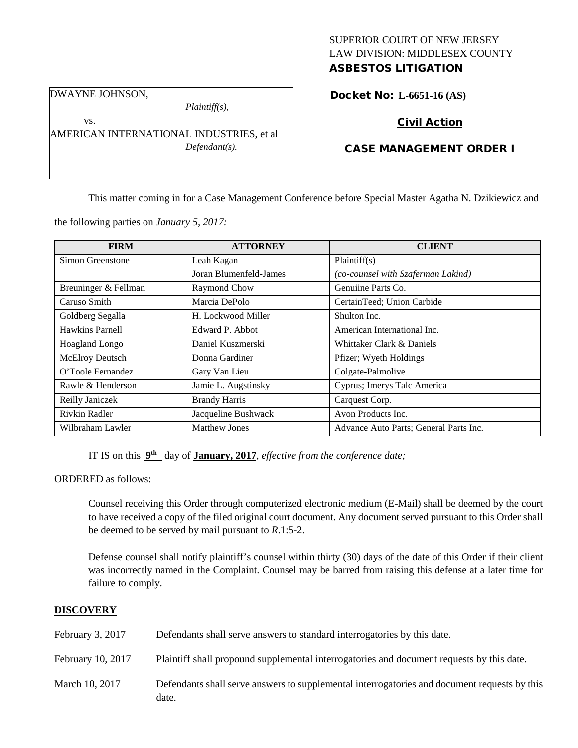# SUPERIOR COURT OF NEW JERSEY LAW DIVISION: MIDDLESEX COUNTY

ASBESTOS LITIGATION

DWAYNE JOHNSON,

vs.

*Plaintiff(s),*

AMERICAN INTERNATIONAL INDUSTRIES, et al *Defendant(s).*

# Docket No: **L-6651-16 (AS)**

#### Civil Action

#### CASE MANAGEMENT ORDER I

This matter coming in for a Case Management Conference before Special Master Agatha N. Dzikiewicz and

the following parties on *January 5, 2017:*

| <b>FIRM</b>            | <b>ATTORNEY</b>        | <b>CLIENT</b>                          |
|------------------------|------------------------|----------------------------------------|
| Simon Greenstone       | Leah Kagan             | Plaintiff(s)                           |
|                        | Joran Blumenfeld-James | (co-counsel with Szaferman Lakind)     |
| Breuninger & Fellman   | Raymond Chow           | Genuiine Parts Co.                     |
| Caruso Smith           | Marcia DePolo          | CertainTeed; Union Carbide             |
| Goldberg Segalla       | H. Lockwood Miller     | Shulton Inc.                           |
| Hawkins Parnell        | Edward P. Abbot        | American International Inc.            |
| Hoagland Longo         | Daniel Kuszmerski      | Whittaker Clark & Daniels              |
| <b>McElroy Deutsch</b> | Donna Gardiner         | Pfizer; Wyeth Holdings                 |
| O'Toole Fernandez      | Gary Van Lieu          | Colgate-Palmolive                      |
| Rawle & Henderson      | Jamie L. Augstinsky    | Cyprus; Imerys Talc America            |
| Reilly Janiczek        | <b>Brandy Harris</b>   | Carquest Corp.                         |
| Rivkin Radler          | Jacqueline Bushwack    | Avon Products Inc.                     |
| Wilbraham Lawler       | <b>Matthew Jones</b>   | Advance Auto Parts; General Parts Inc. |

IT IS on this **9th** day of **January, 2017**, *effective from the conference date;*

ORDERED as follows:

Counsel receiving this Order through computerized electronic medium (E-Mail) shall be deemed by the court to have received a copy of the filed original court document. Any document served pursuant to this Order shall be deemed to be served by mail pursuant to *R*.1:5-2.

Defense counsel shall notify plaintiff's counsel within thirty (30) days of the date of this Order if their client was incorrectly named in the Complaint. Counsel may be barred from raising this defense at a later time for failure to comply.

#### **DISCOVERY**

| February 3, 2017  | Defendants shall serve answers to standard interrogatories by this date.                              |
|-------------------|-------------------------------------------------------------------------------------------------------|
| February 10, 2017 | Plaintiff shall propound supplemental interrogatories and document requests by this date.             |
| March 10, 2017    | Defendants shall serve answers to supplemental interrogatories and document requests by this<br>date. |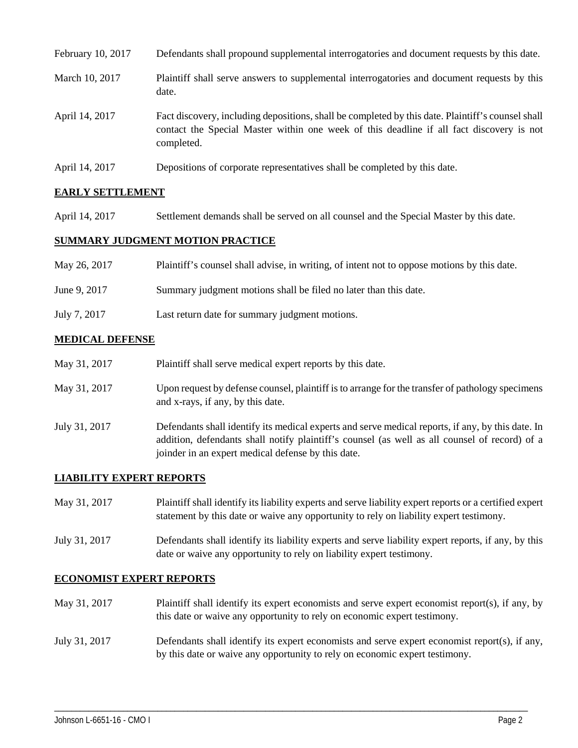| February 10, 2017 | Defendants shall propound supplemental interrogatories and document requests by this date.                                                                                                                  |
|-------------------|-------------------------------------------------------------------------------------------------------------------------------------------------------------------------------------------------------------|
| March 10, 2017    | Plaintiff shall serve answers to supplemental interrogatories and document requests by this<br>date.                                                                                                        |
| April 14, 2017    | Fact discovery, including depositions, shall be completed by this date. Plaintiff's counsel shall<br>contact the Special Master within one week of this deadline if all fact discovery is not<br>completed. |
| April 14, 2017    | Depositions of corporate representatives shall be completed by this date.                                                                                                                                   |

### **EARLY SETTLEMENT**

April 14, 2017 Settlement demands shall be served on all counsel and the Special Master by this date.

#### **SUMMARY JUDGMENT MOTION PRACTICE**

| May 26, 2017 | Plaintiff's counsel shall advise, in writing, of intent not to oppose motions by this date. |
|--------------|---------------------------------------------------------------------------------------------|
| June 9, 2017 | Summary judgment motions shall be filed no later than this date.                            |
| July 7, 2017 | Last return date for summary judgment motions.                                              |

#### **MEDICAL DEFENSE**

| May 31, 2017  | Plaintiff shall serve medical expert reports by this date.                                                                                                                                                                                               |
|---------------|----------------------------------------------------------------------------------------------------------------------------------------------------------------------------------------------------------------------------------------------------------|
| May 31, 2017  | Upon request by defense counsel, plaintiff is to arrange for the transfer of pathology specimens<br>and x-rays, if any, by this date.                                                                                                                    |
| July 31, 2017 | Defendants shall identify its medical experts and serve medical reports, if any, by this date. In<br>addition, defendants shall notify plaintiff's counsel (as well as all counsel of record) of a<br>joinder in an expert medical defense by this date. |

#### **LIABILITY EXPERT REPORTS**

| May 31, 2017                                                                                                                                                                                                                                                                                                        | Plaintiff shall identify its liability experts and serve liability expert reports or a certified expert<br>statement by this date or waive any opportunity to rely on liability expert testimony. |
|---------------------------------------------------------------------------------------------------------------------------------------------------------------------------------------------------------------------------------------------------------------------------------------------------------------------|---------------------------------------------------------------------------------------------------------------------------------------------------------------------------------------------------|
| $\frac{1}{2}$ $\frac{1}{2}$ $\frac{1}{2}$ $\frac{1}{2}$ $\frac{1}{2}$ $\frac{1}{2}$ $\frac{1}{2}$ $\frac{1}{2}$ $\frac{1}{2}$ $\frac{1}{2}$ $\frac{1}{2}$ $\frac{1}{2}$ $\frac{1}{2}$ $\frac{1}{2}$ $\frac{1}{2}$ $\frac{1}{2}$ $\frac{1}{2}$ $\frac{1}{2}$ $\frac{1}{2}$ $\frac{1}{2}$ $\frac{1}{2}$ $\frac{1}{2}$ | Defendants shall identify its liability experts and serve liability expert reports if any by this                                                                                                 |

## July 31, 2017 Defendants shall identify its liability experts and serve liability expert reports, if any, by this date or waive any opportunity to rely on liability expert testimony.

#### **ECONOMIST EXPERT REPORTS**

May 31, 2017 Plaintiff shall identify its expert economists and serve expert economist report(s), if any, by this date or waive any opportunity to rely on economic expert testimony.

#### July 31, 2017 Defendants shall identify its expert economists and serve expert economist report(s), if any, by this date or waive any opportunity to rely on economic expert testimony.

\_\_\_\_\_\_\_\_\_\_\_\_\_\_\_\_\_\_\_\_\_\_\_\_\_\_\_\_\_\_\_\_\_\_\_\_\_\_\_\_\_\_\_\_\_\_\_\_\_\_\_\_\_\_\_\_\_\_\_\_\_\_\_\_\_\_\_\_\_\_\_\_\_\_\_\_\_\_\_\_\_\_\_\_\_\_\_\_\_\_\_\_\_\_\_\_\_\_\_\_\_\_\_\_\_\_\_\_\_\_